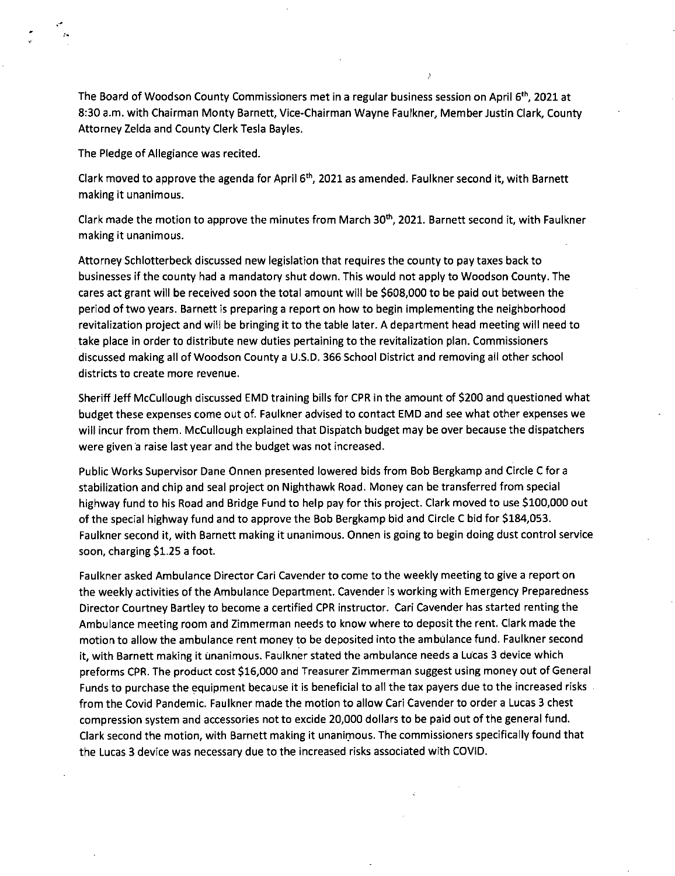The Board of Woodson County Commissioners met in a regular business session on April 6<sup>th</sup>, 2021 at 8:30 a.m. with Chairman Monty Barnett, Vice-Chairman Wayne Faulkner, Member Justin Clark, County Attorney Zelda and County Clerk Tesla Bayles.

The Pledge of Allegiance was recited.

Clark moved to approve the agenda for April 6<sup>th</sup>, 2021 as amended. Faulkner second it, with Barnett making it unanimous.

Clark made the motion to approve the minutes from March 30<sup>th</sup>, 2021. Barnett second it, with Faulkner making it unanimous.

Attorney Schlotterbeck discussed new legislation that requires the county to pay taxes back to businesses if the county had a mandatory shut down. This would not apply to Woodson County. The cares act grant will be received soon the total amount will be \$608,000 to be paid out between the period of two years. Barnett is preparing a report on how to begin implementing the neighborhood revitalization project and will be bringing it to the table later. A department head meeting will need to take place in order to distribute new duties pertaining to the revitalization plan. Commissioners discussed making all of Woodson County a U.S.D. 366 School District and removing all other school districts to create more revenue.

Sheriff Jeff McCullough discussed EMD training bills for CPR in the amount of \$200 and questioned what budget these expenses come out of. Faulkner advised to contact EMD and see what other expenses we will incur from them. McCullough explained that Dispatch budget may be over because the dispatchers were given a raise last year and the budget was not increased.

Public Works Supervisor Dane Onnen presented lowered bids from Bob Bergkamp and Circle C for a stabilization and chip and seal project on Nighthawk Road. Money can be transferred from special highway fund to his Road and Bridge Fund to help pay for this project. Clark moved to use \$100,000 out of the special highway fund and to approve the Bob Bergkamp bid and Circle C bid for \$184,053. Faulkner second it, with Barnett making it unanimous. Onnen is going to begin doing dust control service soon, charging \$1.25 a foot.

Faulkner asked Ambulance Director Cari Cavender to come to the weekly meeting to give a report on the weekly activities of the Ambulance Department. Cavender is working with Emergency Preparedness Director Courtney Bartley to become a certified CPR instructor. Cari Cavender has started renting the Ambulance meeting room and Zimmerman needs to know where to deposit the rent. Clark made the motion to allow the ambulance rent money to be deposited into the ambulance fund. Faulkner second it, with Barnett making it unanimous. Faulkner stated the ambulance needs a Lucas 3 device which preforms CPR. The product cost \$16,000 and Treasurer Zimmerman suggest using money out of General Funds to purchase the equipment because it is beneficial to all the tax payers due to the increased risks from the Covid Pandemic. Faulkner made the motion to allow Cari Cavender to order a Lucas 3 chest compression system and accessories not to excide 20,000 dollars to be paid out of the general fund. Clark second the motion, with Barnett making it unanimous. The commissioners specifically found that the Lucas 3 device was necessary due to the increased risks associated with COVID.